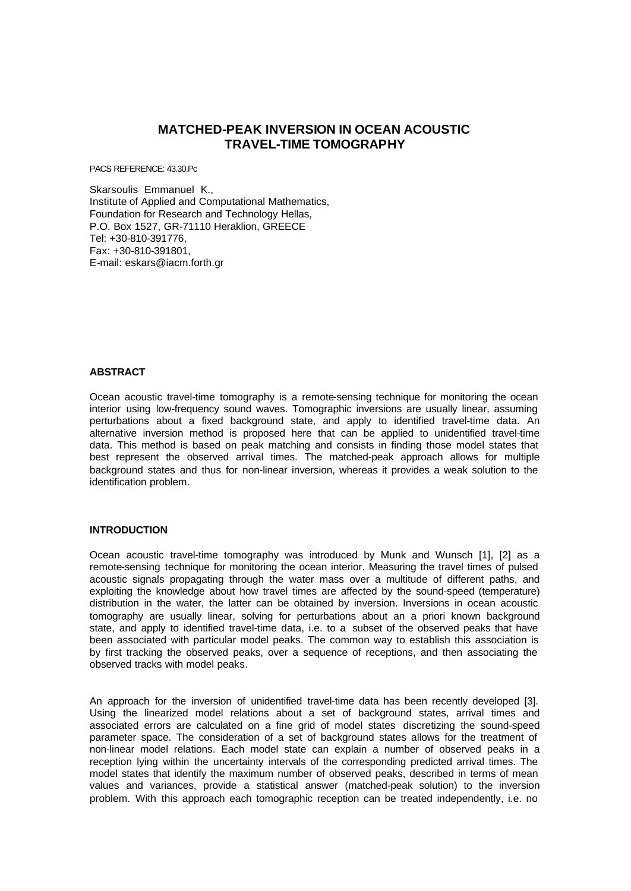# **MATCHED-PEAK INVERSION IN OCEAN ACOUSTIC TRAVEL-TIME TOMOGRAPHY**

PACS REFERENCE: 43.30.Pc

Skarsoulis Emmanuel K., Institute of Applied and Computational Mathematics, Foundation for Research and Technology Hellas, P.O. Box 1527, GR-71110 Heraklion, GREECE Tel: +30-810-391776, Fax: +30-810-391801, E-mail: eskars@iacm.forth.gr

#### **ABSTRACT**

Ocean acoustic travel-time tomography is a remote-sensing technique for monitoring the ocean interior using low-frequency sound waves. Tomographic inversions are usually linear, assuming perturbations about a fixed background state, and apply to identified travel-time data. An alternative inversion method is proposed here that can be applied to unidentified travel-time data. This method is based on peak matching and consists in finding those model states that best represent the observed arrival times. The matched-peak approach allows for multiple background states and thus for non-linear inversion, whereas it provides a weak solution to the identification problem.

## **INTRODUCTION**

Ocean acoustic travel-time tomography was introduced by Munk and Wunsch [1], [2] as a remote-sensing technique for monitoring the ocean interior. Measuring the travel times of pulsed acoustic signals propagating through the water mass over a multitude of different paths, and exploiting the knowledge about how travel times are affected by the sound-speed (temperature) distribution in the water, the latter can be obtained by inversion. Inversions in ocean acoustic tomography are usually linear, solving for perturbations about an a priori known background state, and apply to identified travel-time data, i.e. to a subset of the observed peaks that have been associated with particular model peaks. The common way to establish this association is by first tracking the observed peaks, over a sequence of receptions, and then associating the observed tracks with model peaks.

An approach for the inversion of unidentified travel-time data has been recently developed [3]. Using the linearized model relations about a set of background states, arrival times and associated errors are calculated on a fine grid of model states discretizing the sound-speed parameter space. The consideration of a set of background states allows for the treatment of non-linear model relations. Each model state can explain a number of observed peaks in a reception lying within the uncertainty intervals of the corresponding predicted arrival times. The model states that identify the maximum number of observed peaks, described in terms of mean values and variances, provide a statistical answer (matched-peak solution) to the inversion problem. With this approach each tomographic reception can be treated independently, i.e. no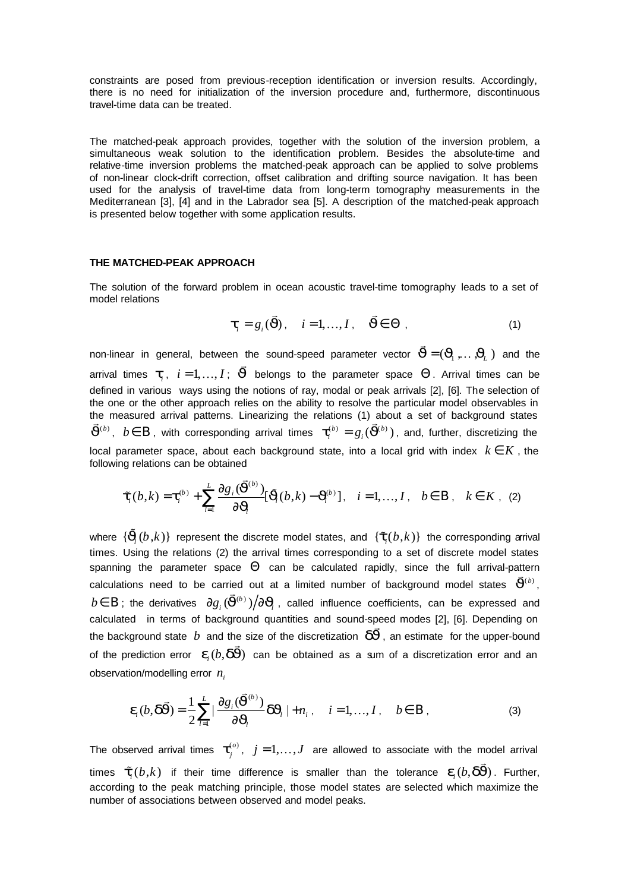constraints are posed from previous-reception identification or inversion results. Accordingly, there is no need for initialization of the inversion procedure and, furthermore, discontinuous travel-time data can be treated.

The matched-peak approach provides, together with the solution of the inversion problem, a simultaneous weak solution to the identification problem. Besides the absolute-time and relative-time inversion problems the matched-peak approach can be applied to solve problems of non-linear clock-drift correction, offset calibration and drifting source navigation. It has been used for the analysis of travel-time data from long-term tomography measurements in the Mediterranean [3], [4] and in the Labrador sea [5]. A description of the matched-peak approach is presented below together with some application results.

## **THE MATCHED-PEAK APPROACH**

The solution of the forward problem in ocean acoustic travel-time tomography leads to a set of model relations

$$
\boldsymbol{t}_i = g_i(\vec{\boldsymbol{J}}), \quad i = 1, ..., I, \quad \vec{\boldsymbol{J}} \in \Theta ,
$$
 (1)

non-linear in general, between the sound-speed parameter vector  $\vec{\bm{J}}{=}(\bm{J}_{\!\!1}^{T},\ldots,\!\bm{J}_{\!\!L}^{T})$ ,... $J_{\scriptscriptstyle L}$  ) and the arrival times  $\boldsymbol{t}_{\!i}^{},~~i\!=\!1,\dots,I;~~\boldsymbol{\vec{J}}$  $\rightarrow$ belongs to the parameter space  $\Theta$ . Arrival times can be defined in various ways using the notions of ray, modal or peak arrivals [2], [6]. The selection of the one or the other approach relies on the ability to resolve the particular model observables in the measured arrival patterns. Linearizing the relations (1) about a set of background states  $\vec{J}^{(b)}$ ,  $b \in B$ , with corresponding arrival times  $\bm{t}^{(b)}_i = g_i(\vec{J}^{(b)})$ , and, further, discretizing the local parameter space, about each background state, into a local grid with index  $k \in K$ , the following relations can be obtained

$$
\boldsymbol{t}_{i}(b,k)=\boldsymbol{t}_{i}^{(b)}+\sum_{l=1}^{L}\frac{\partial g_{i}(\vec{\boldsymbol{J}}^{(b)})}{\partial\boldsymbol{J}_{l}}[\tilde{\boldsymbol{J}}_{l}(b,k)-\boldsymbol{J}_{l}^{(b)}],\quad i=1,\ldots,I\,,\quad b\in\mathbf{B}\,,\quad k\in K\,,\tag{2}
$$

where  $\{\tilde{\bm{J}}_{l}(b, k)\}$  represent the discrete model states, and  $\{\bm{t}_{i}(b, k)\}$  the corresponding arrival times. Using the relations (2) the arrival times corresponding to a set of discrete model states spanning the parameter space Θ can be calculated rapidly, since the full arrival-pattern and the state of the calculations need to be carried out at a limited number of background model states  $\vec{J}^{(b)}$ ,  $b$ ∈  $\rm B$  ; the derivatives  $\,\,\partial g_{_i}(\vec{\bm{J}}^{(b)})\big/\partial\bm{J\!_{_l}$  , called influence coefficients, can be expressed and calculated in terms of background quantities and sound-speed modes [2], [6]. Depending on the background state  $b$  and the size of the discretization  $\vec{dJ}$ , an estimate for the upper-bound of the prediction error  $\bm{e}_i ( b, \vec{dJ} )$  can be obtained as a sum of a discretization error and an observation/modelling error *n<sup>i</sup>*

$$
\mathbf{e}_{i}(b,\mathbf{d}\mathbf{\vec{J}})=\frac{1}{2}\sum_{l=1}^{L}|\frac{\partial g_{i}(\mathbf{\vec{J}}^{(b)})}{\partial \mathbf{J}_{l}}\mathbf{d}\mathbf{J}_{l}|+n_{i}, \quad i=1,...,I, \quad b\in B,
$$
\n(3)

The observed arrival times  $\boldsymbol{t}_{j}^{(o)}$ ,  $j = 1, ..., J$  are allowed to associate with the model arrival times  $\bm{t}_i(b,k)$  if their time difference is smaller than the tolerance  $\bm{e}_i(b,\bm{dJ})$ .  $\rightarrow$ . Further, according to the peak matching principle, those model states are selected which maximize the number of associations between observed and model peaks.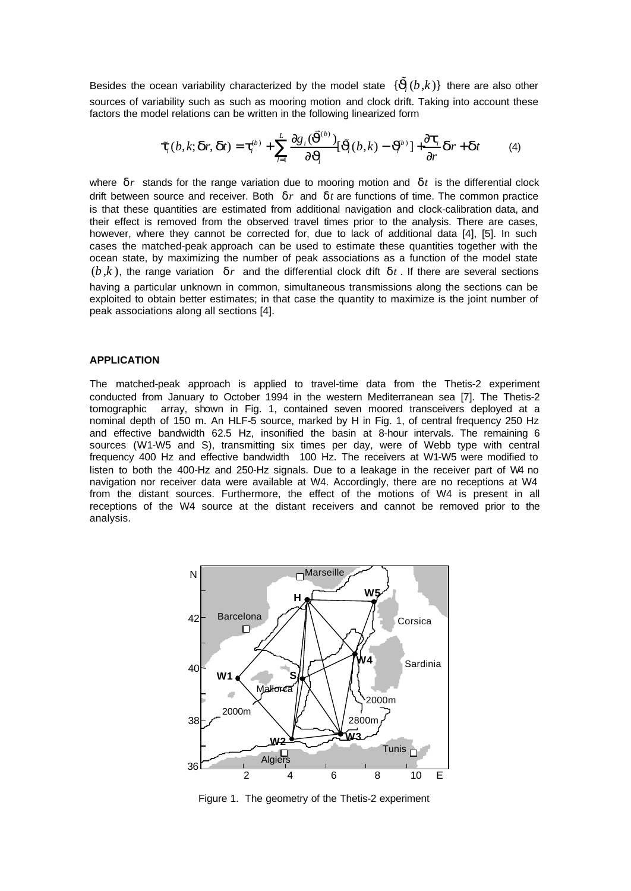Besides the ocean variability characterized by the model state  $\,\{\tilde{\bm{J}}\!(b,\!k)\}$  there are also other sources of variability such as such as mooring motion and clock drift. Taking into account these factors the model relations can be written in the following linearized form

$$
\boldsymbol{t}_{i}(b,k;\boldsymbol{d}r,\boldsymbol{d}t)=\boldsymbol{t}_{i}^{(b)}+\sum_{l=1}^{L}\frac{\partial g_{i}(\boldsymbol{\vec{J}}^{(b)})}{\partial \boldsymbol{J}_{l}}[\boldsymbol{\tilde{J}}_{l}(b,k)-\boldsymbol{\vec{J}}^{(b)}]+\frac{\partial \boldsymbol{t}_{i}}{\partial r}\boldsymbol{d}r+\boldsymbol{d}t
$$
 (4)

where  $\boldsymbol{d}r$  stands for the range variation due to mooring motion and  $\boldsymbol{d}t$  is the differential clock drift between source and receiver. Both  $\boldsymbol{d} r$  and  $\boldsymbol{d} t$  are functions of time. The common practice is that these quantities are estimated from additional navigation and clock-calibration data, and their effect is removed from the observed travel times prior to the analysis. There are cases, however, where they cannot be corrected for, due to lack of additional data [4], [5]. In such cases the matched-peak approach can be used to estimate these quantities together with the ocean state, by maximizing the number of peak associations as a function of the model state  $(b, k)$ , the range variation  $dr$  and the differential clock dift  $dt$ . If there are several sections having a particular unknown in common, simultaneous transmissions along the sections can be exploited to obtain better estimates; in that case the quantity to maximize is the joint number of peak associations along all sections [4].

#### **APPLICATION**

The matched-peak approach is applied to travel-time data from the Thetis-2 experiment conducted from January to October 1994 in the western Mediterranean sea [7]. The Thetis-2 tomographic array, shown in Fig. 1, contained seven moored transceivers deployed at a nominal depth of 150 m. An HLF-5 source, marked by H in Fig. 1, of central frequency 250 Hz and effective bandwidth 62.5 Hz, insonified the basin at 8-hour intervals. The remaining 6 sources (W1-W5 and S), transmitting six times per day, were of Webb type with central frequency 400 Hz and effective bandwidth 100 Hz. The receivers at W1-W5 were modified to listen to both the 400-Hz and 250-Hz signals. Due to a leakage in the receiver part of W4 no navigation nor receiver data were available at W4. Accordingly, there are no receptions at W4 from the distant sources. Furthermore, the effect of the motions of W4 is present in all receptions of the W4 source at the distant receivers and cannot be removed prior to the analysis.



Figure 1. The geometry of the Thetis-2 experiment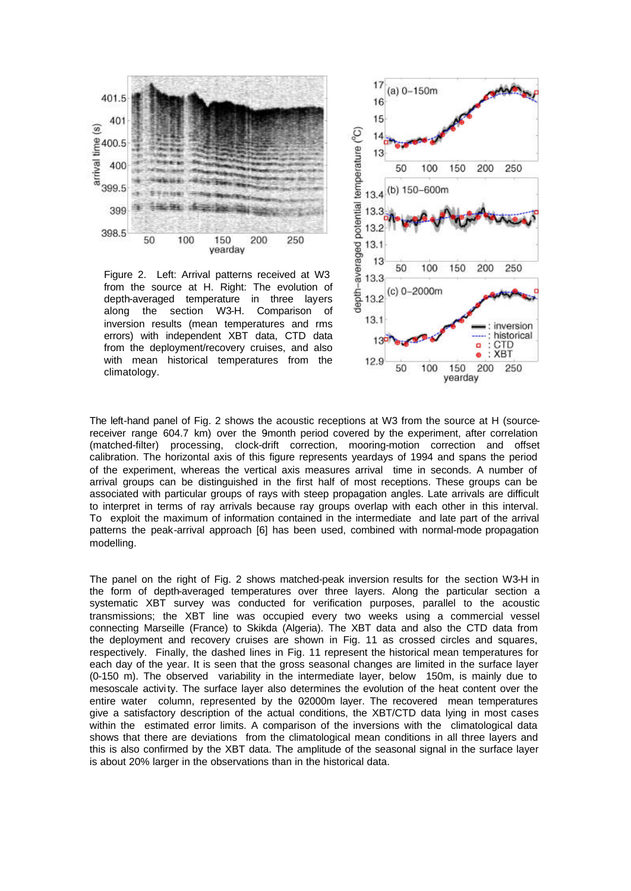

Figure 2. Left: Arrival patterns received at W3 from the source at H. Right: The evolution of depth-averaged temperature in three layers along the section W3-H. Comparison of inversion results (mean temperatures and rms errors) with independent XBT data, CTD data from the deployment/recovery cruises, and also with mean historical temperatures from the climatology.



The left-hand panel of Fig. 2 shows the acoustic receptions at W3 from the source at H (sourcereceiver range 604.7 km) over the 9month period covered by the experiment, after correlation (matched-filter) processing, clock-drift correction, mooring-motion correction and offset calibration. The horizontal axis of this figure represents yeardays of 1994 and spans the period of the experiment, whereas the vertical axis measures arrival time in seconds. A number of arrival groups can be distinguished in the first half of most receptions. These groups can be associated with particular groups of rays with steep propagation angles. Late arrivals are difficult to interpret in terms of ray arrivals because ray groups overlap with each other in this interval. To exploit the maximum of information contained in the intermediate and late part of the arrival patterns the peak-arrival approach [6] has been used, combined with normal-mode propagation modelling.

The panel on the right of Fig. 2 shows matched-peak inversion results for the section W3-H in the form of depth-averaged temperatures over three layers. Along the particular section a systematic XBT survey was conducted for verification purposes, parallel to the acoustic transmissions; the XBT line was occupied every two weeks using a commercial vessel connecting Marseille (France) to Skikda (Algeria). The XBT data and also the CTD data from the deployment and recovery cruises are shown in Fig. 11 as crossed circles and squares, respectively. Finally, the dashed lines in Fig. 11 represent the historical mean temperatures for each day of the year. It is seen that the gross seasonal changes are limited in the surface layer (0-150 m). The observed variability in the intermediate layer, below 150m, is mainly due to mesoscale activi ty. The surface layer also determines the evolution of the heat content over the entire water column, represented by the 02000m layer. The recovered mean temperatures give a satisfactory description of the actual conditions, the XBT/CTD data lying in most cases within the estimated error limits. A comparison of the inversions with the climatological data shows that there are deviations from the climatological mean conditions in all three layers and this is also confirmed by the XBT data. The amplitude of the seasonal signal in the surface layer is about 20% larger in the observations than in the historical data.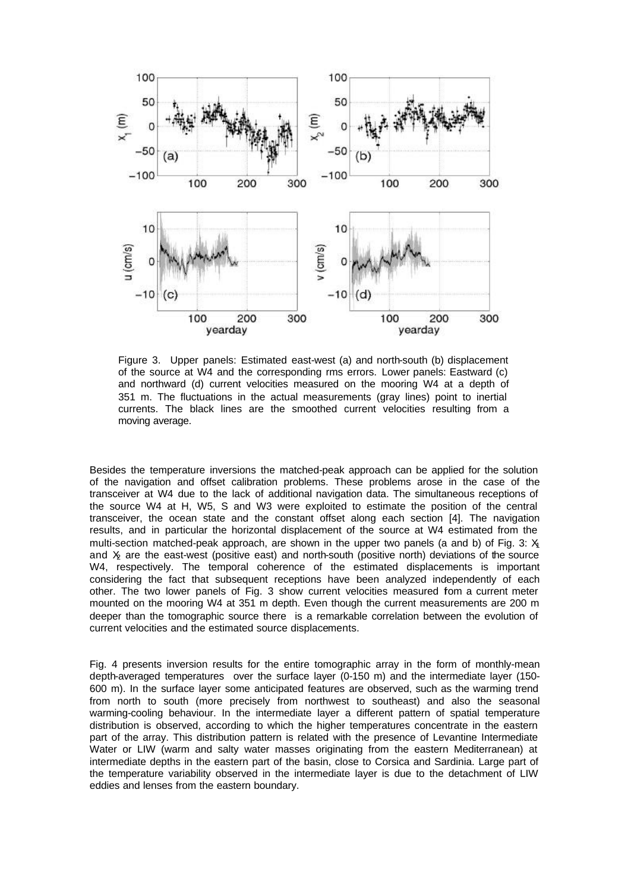

Figure 3. Upper panels: Estimated east-west (a) and north-south (b) displacement of the source at W4 and the corresponding rms errors. Lower panels: Eastward (c) and northward (d) current velocities measured on the mooring W4 at a depth of 351 m. The fluctuations in the actual measurements (gray lines) point to inertial currents. The black lines are the smoothed current velocities resulting from a moving average.

Besides the temperature inversions the matched-peak approach can be applied for the solution of the navigation and offset calibration problems. These problems arose in the case of the transceiver at W4 due to the lack of additional navigation data. The simultaneous receptions of the source W4 at H, W5, S and W3 were exploited to estimate the position of the central transceiver, the ocean state and the constant offset along each section [4]. The navigation results, and in particular the horizontal displacement of the source at W4 estimated from the multi-section matched-peak approach, are shown in the upper two panels (a and b) of Fig. 3:  $X_1$ and  $X<sub>2</sub>$  are the east-west (positive east) and north-south (positive north) deviations of the source W4, respectively. The temporal coherence of the estimated displacements is important considering the fact that subsequent receptions have been analyzed independently of each other. The two lower panels of Fig. 3 show current velocities measured fom a current meter mounted on the mooring W4 at 351 m depth. Even though the current measurements are 200 m deeper than the tomographic source there is a remarkable correlation between the evolution of current velocities and the estimated source displacements.

Fig. 4 presents inversion results for the entire tomographic array in the form of monthly-mean depth-averaged temperatures over the surface layer (0-150 m) and the intermediate layer (150- 600 m). In the surface layer some anticipated features are observed, such as the warming trend from north to south (more precisely from northwest to southeast) and also the seasonal warming-cooling behaviour. In the intermediate layer a different pattern of spatial temperature distribution is observed, according to which the higher temperatures concentrate in the eastern part of the array. This distribution pattern is related with the presence of Levantine Intermediate Water or LIW (warm and salty water masses originating from the eastern Mediterranean) at intermediate depths in the eastern part of the basin, close to Corsica and Sardinia. Large part of the temperature variability observed in the intermediate layer is due to the detachment of LIW eddies and lenses from the eastern boundary.